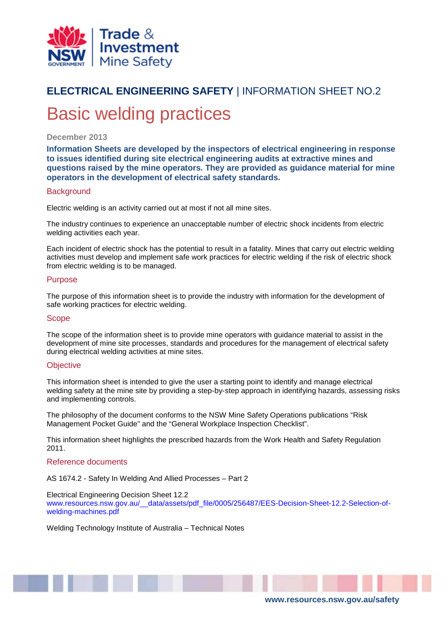

# **ELECTRICAL ENGINEERING SAFETY** | INFORMATION SHEET NO.2 Basic welding practices

#### **December 2013**

**Information Sheets are developed by the inspectors of electrical engineering in response to issues identified during site electrical engineering audits at extractive mines and questions raised by the mine operators. They are provided as guidance material for mine operators in the development of electrical safety standards.**

#### **Background**

Electric welding is an activity carried out at most if not all mine sites.

The industry continues to experience an unacceptable number of electric shock incidents from electric welding activities each year.

Each incident of electric shock has the potential to result in a fatality. Mines that carry out electric welding activities must develop and implement safe work practices for electric welding if the risk of electric shock from electric welding is to be managed.

#### Purpose

The purpose of this information sheet is to provide the industry with information for the development of safe working practices for electric welding.

#### **Scope**

The scope of the information sheet is to provide mine operators with guidance material to assist in the development of mine site processes, standards and procedures for the management of electrical safety during electrical welding activities at mine sites.

#### **Objective**

This information sheet is intended to give the user a starting point to identify and manage electrical welding safety at the mine site by providing a step-by-step approach in identifying hazards, assessing risks and implementing controls.

The philosophy of the document conforms to the NSW Mine Safety Operations publications "Risk Management Pocket Guide" and the "General Workplace Inspection Checklist".

This information sheet highlights the prescribed hazards from the Work Health and Safety Regulation 2011.

#### Reference documents

AS 1674.2 - Safety In Welding And Allied Processes – Part 2

#### Electrical Engineering Decision Sheet 12.2

[www.resources.nsw.gov.au/\\_\\_data/assets/pdf\\_file/0005/256487/EES-Decision-Sheet-12.2-Selection-of](http://www.resources.nsw.gov.au/__data/assets/pdf_file/0005/256487/EES-Decision-Sheet-12.2-Selection-of-welding-machines.pdf)[welding-machines.pdf](http://www.resources.nsw.gov.au/__data/assets/pdf_file/0005/256487/EES-Decision-Sheet-12.2-Selection-of-welding-machines.pdf)

Welding Technology Institute of Australia – Technical Notes

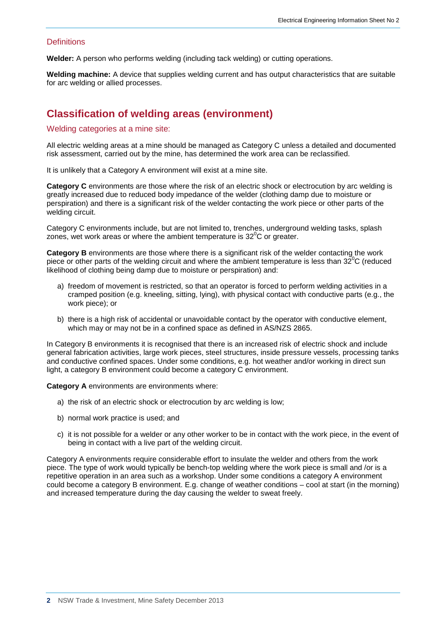#### **Definitions**

**Welder:** A person who performs welding (including tack welding) or cutting operations.

**Welding machine:** A device that supplies welding current and has output characteristics that are suitable for arc welding or allied processes.

# **Classification of welding areas (environment)**

#### Welding categories at a mine site:

All electric welding areas at a mine should be managed as Category C unless a detailed and documented risk assessment, carried out by the mine, has determined the work area can be reclassified.

It is unlikely that a Category A environment will exist at a mine site.

**Category C** environments are those where the risk of an electric shock or electrocution by arc welding is greatly increased due to reduced body impedance of the welder (clothing damp due to moisture or perspiration) and there is a significant risk of the welder contacting the work piece or other parts of the welding circuit.

Category C environments include, but are not limited to, trenches, underground welding tasks, splash zones, wet work areas or where the ambient temperature is 32 $^{\rm o}$ C or greater.

**Category B** environments are those where there is a significant risk of the welder contacting the work piece or other parts of the welding circuit and where the ambient temperature is less than  $32^{\circ}$ C (reduced likelihood of clothing being damp due to moisture or perspiration) and:

- a) freedom of movement is restricted, so that an operator is forced to perform welding activities in a cramped position (e.g. kneeling, sitting, lying), with physical contact with conductive parts (e.g., the work piece); or
- b) there is a high risk of accidental or unavoidable contact by the operator with conductive element, which may or may not be in a confined space as defined in AS/NZS 2865.

In Category B environments it is recognised that there is an increased risk of electric shock and include general fabrication activities, large work pieces, steel structures, inside pressure vessels, processing tanks and conductive confined spaces. Under some conditions, e.g. hot weather and/or working in direct sun light, a category B environment could become a category C environment.

**Category A** environments are environments where:

- a) the risk of an electric shock or electrocution by arc welding is low;
- b) normal work practice is used; and
- c) it is not possible for a welder or any other worker to be in contact with the work piece, in the event of being in contact with a live part of the welding circuit.

Category A environments require considerable effort to insulate the welder and others from the work piece. The type of work would typically be bench-top welding where the work piece is small and /or is a repetitive operation in an area such as a workshop. Under some conditions a category A environment could become a category B environment. E.g. change of weather conditions – cool at start (in the morning) and increased temperature during the day causing the welder to sweat freely.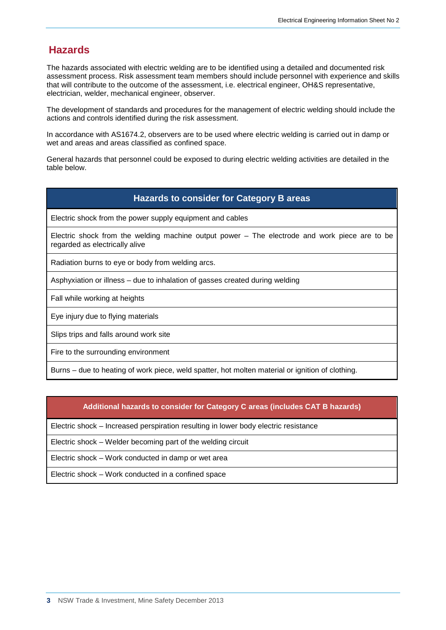# **Hazards**

The hazards associated with electric welding are to be identified using a detailed and documented risk assessment process. Risk assessment team members should include personnel with experience and skills that will contribute to the outcome of the assessment, i.e. electrical engineer, OH&S representative, electrician, welder, mechanical engineer, observer.

The development of standards and procedures for the management of electric welding should include the actions and controls identified during the risk assessment.

In accordance with AS1674.2, observers are to be used where electric welding is carried out in damp or wet and areas and areas classified as confined space.

General hazards that personnel could be exposed to during electric welding activities are detailed in the table below.

### **Hazards to consider for Category B areas**

Electric shock from the power supply equipment and cables

Electric shock from the welding machine output power – The electrode and work piece are to be regarded as electrically alive

Radiation burns to eye or body from welding arcs.

Asphyxiation or illness – due to inhalation of gasses created during welding

Fall while working at heights

Eye injury due to flying materials

Slips trips and falls around work site

Fire to the surrounding environment

Burns – due to heating of work piece, weld spatter, hot molten material or ignition of clothing.

#### **Additional hazards to consider for Category C areas (includes CAT B hazards)**

Electric shock – Increased perspiration resulting in lower body electric resistance

Electric shock – Welder becoming part of the welding circuit

Electric shock – Work conducted in damp or wet area

Electric shock – Work conducted in a confined space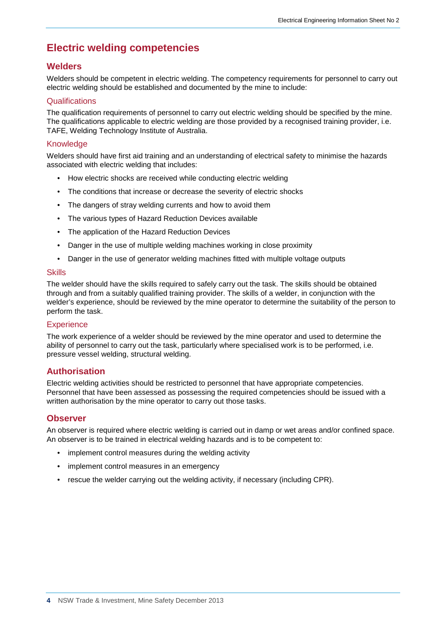# **Electric welding competencies**

### **Welders**

Welders should be competent in electric welding. The competency requirements for personnel to carry out electric welding should be established and documented by the mine to include:

#### **Qualifications**

The qualification requirements of personnel to carry out electric welding should be specified by the mine. The qualifications applicable to electric welding are those provided by a recognised training provider, i.e. TAFE, Welding Technology Institute of Australia.

#### Knowledge

Welders should have first aid training and an understanding of electrical safety to minimise the hazards associated with electric welding that includes:

- How electric shocks are received while conducting electric welding
- The conditions that increase or decrease the severity of electric shocks
- The dangers of stray welding currents and how to avoid them
- The various types of Hazard Reduction Devices available
- The application of the Hazard Reduction Devices
- Danger in the use of multiple welding machines working in close proximity
- Danger in the use of generator welding machines fitted with multiple voltage outputs

#### **Skills**

The welder should have the skills required to safely carry out the task. The skills should be obtained through and from a suitably qualified training provider. The skills of a welder, in conjunction with the welder's experience, should be reviewed by the mine operator to determine the suitability of the person to perform the task.

#### **Experience**

The work experience of a welder should be reviewed by the mine operator and used to determine the ability of personnel to carry out the task, particularly where specialised work is to be performed, i.e. pressure vessel welding, structural welding.

### **Authorisation**

Electric welding activities should be restricted to personnel that have appropriate competencies. Personnel that have been assessed as possessing the required competencies should be issued with a written authorisation by the mine operator to carry out those tasks.

### **Observer**

An observer is required where electric welding is carried out in damp or wet areas and/or confined space. An observer is to be trained in electrical welding hazards and is to be competent to:

- implement control measures during the welding activity
- implement control measures in an emergency
- rescue the welder carrying out the welding activity, if necessary (including CPR).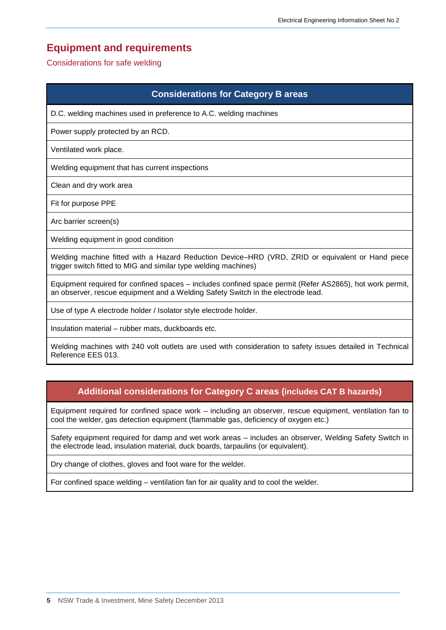# **Equipment and requirements**

#### Considerations for safe welding

## **Considerations for Category B areas**

D.C. welding machines used in preference to A.C. welding machines

Power supply protected by an RCD.

Ventilated work place.

Welding equipment that has current inspections

Clean and dry work area

Fit for purpose PPE

Arc barrier screen(s)

Welding equipment in good condition

Welding machine fitted with a Hazard Reduction Device–HRD (VRD, ZRID or equivalent or Hand piece trigger switch fitted to MIG and similar type welding machines)

Equipment required for confined spaces – includes confined space permit (Refer AS2865), hot work permit, an observer, rescue equipment and a Welding Safety Switch in the electrode lead.

Use of type A electrode holder / Isolator style electrode holder.

Insulation material – rubber mats, duckboards etc.

Welding machines with 240 volt outlets are used with consideration to safety issues detailed in Technical Reference EES 013.

# **Additional considerations for Category C areas (includes CAT B hazards)**

Equipment required for confined space work – including an observer, rescue equipment, ventilation fan to cool the welder, gas detection equipment (flammable gas, deficiency of oxygen etc.)

Safety equipment required for damp and wet work areas – includes an observer, Welding Safety Switch in the electrode lead, insulation material, duck boards, tarpaulins (or equivalent).

Dry change of clothes, gloves and foot ware for the welder.

For confined space welding – ventilation fan for air quality and to cool the welder.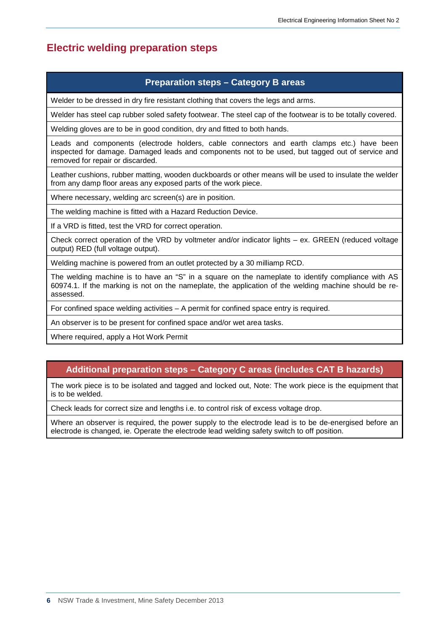# **Electric welding preparation steps**

## **Preparation steps – Category B areas**

Welder to be dressed in dry fire resistant clothing that covers the legs and arms.

Welder has steel cap rubber soled safety footwear. The steel cap of the footwear is to be totally covered.

Welding gloves are to be in good condition, dry and fitted to both hands.

Leads and components (electrode holders, cable connectors and earth clamps etc.) have been inspected for damage. Damaged leads and components not to be used, but tagged out of service and removed for repair or discarded.

Leather cushions, rubber matting, wooden duckboards or other means will be used to insulate the welder from any damp floor areas any exposed parts of the work piece.

Where necessary, welding arc screen(s) are in position.

The welding machine is fitted with a Hazard Reduction Device.

If a VRD is fitted, test the VRD for correct operation.

Check correct operation of the VRD by voltmeter and/or indicator lights – ex. GREEN (reduced voltage output) RED (full voltage output).

Welding machine is powered from an outlet protected by a 30 milliamp RCD.

The welding machine is to have an "S" in a square on the nameplate to identify compliance with AS 60974.1. If the marking is not on the nameplate, the application of the welding machine should be reassessed.

For confined space welding activities – A permit for confined space entry is required.

An observer is to be present for confined space and/or wet area tasks.

Where required, apply a Hot Work Permit

# **Additional preparation steps – Category C areas (includes CAT B hazards)**

The work piece is to be isolated and tagged and locked out, Note: The work piece is the equipment that is to be welded.

Check leads for correct size and lengths i.e. to control risk of excess voltage drop.

Where an observer is required, the power supply to the electrode lead is to be de-energised before an electrode is changed, ie. Operate the electrode lead welding safety switch to off position.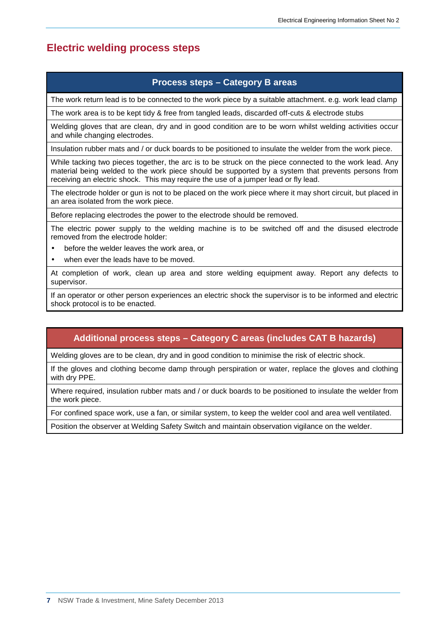# **Electric welding process steps**

## **Process steps – Category B areas**

The work return lead is to be connected to the work piece by a suitable attachment. e.g. work lead clamp

The work area is to be kept tidy & free from tangled leads, discarded off-cuts & electrode stubs

Welding gloves that are clean, dry and in good condition are to be worn whilst welding activities occur and while changing electrodes.

Insulation rubber mats and / or duck boards to be positioned to insulate the welder from the work piece.

While tacking two pieces together, the arc is to be struck on the piece connected to the work lead. Any material being welded to the work piece should be supported by a system that prevents persons from receiving an electric shock. This may require the use of a jumper lead or fly lead.

The electrode holder or gun is not to be placed on the work piece where it may short circuit, but placed in an area isolated from the work piece.

Before replacing electrodes the power to the electrode should be removed.

The electric power supply to the welding machine is to be switched off and the disused electrode removed from the electrode holder:

- before the welder leaves the work area, or
- when ever the leads have to be moved.

At completion of work, clean up area and store welding equipment away. Report any defects to supervisor.

If an operator or other person experiences an electric shock the supervisor is to be informed and electric shock protocol is to be enacted.

# **Additional process steps – Category C areas (includes CAT B hazards)**

Welding gloves are to be clean, dry and in good condition to minimise the risk of electric shock.

If the gloves and clothing become damp through perspiration or water, replace the gloves and clothing with dry PPE.

Where required, insulation rubber mats and / or duck boards to be positioned to insulate the welder from the work piece.

For confined space work, use a fan, or similar system, to keep the welder cool and area well ventilated.

Position the observer at Welding Safety Switch and maintain observation vigilance on the welder.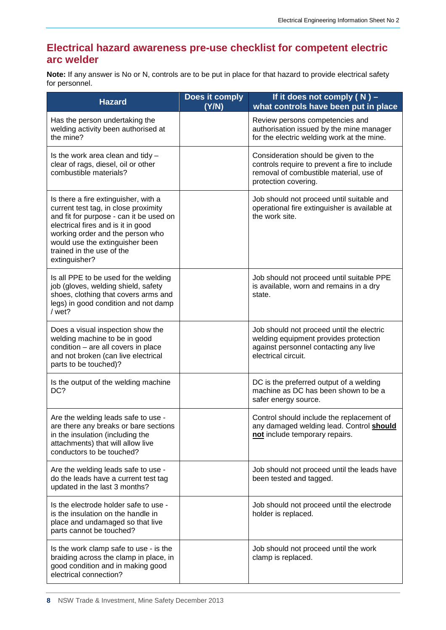# **Electrical hazard awareness pre-use checklist for competent electric arc welder**

**Note:** If any answer is No or N, controls are to be put in place for that hazard to provide electrical safety for personnel.

| <b>Hazard</b>                                                                                                                                                                                                                                                                      | Does it comply<br>(Y/N) | If it does not comply $(N)$ –<br>what controls have been put in place                                                                                    |
|------------------------------------------------------------------------------------------------------------------------------------------------------------------------------------------------------------------------------------------------------------------------------------|-------------------------|----------------------------------------------------------------------------------------------------------------------------------------------------------|
| Has the person undertaking the<br>welding activity been authorised at<br>the mine?                                                                                                                                                                                                 |                         | Review persons competencies and<br>authorisation issued by the mine manager<br>for the electric welding work at the mine.                                |
| Is the work area clean and tidy $-$<br>clear of rags, diesel, oil or other<br>combustible materials?                                                                                                                                                                               |                         | Consideration should be given to the<br>controls require to prevent a fire to include<br>removal of combustible material, use of<br>protection covering. |
| Is there a fire extinguisher, with a<br>current test tag, in close proximity<br>and fit for purpose - can it be used on<br>electrical fires and is it in good<br>working order and the person who<br>would use the extinguisher been<br>trained in the use of the<br>extinguisher? |                         | Job should not proceed until suitable and<br>operational fire extinguisher is available at<br>the work site.                                             |
| Is all PPE to be used for the welding<br>job (gloves, welding shield, safety<br>shoes, clothing that covers arms and<br>legs) in good condition and not damp<br>/ wet?                                                                                                             |                         | Job should not proceed until suitable PPE<br>is available, worn and remains in a dry<br>state.                                                           |
| Does a visual inspection show the<br>welding machine to be in good<br>condition - are all covers in place<br>and not broken (can live electrical<br>parts to be touched)?                                                                                                          |                         | Job should not proceed until the electric<br>welding equipment provides protection<br>against personnel contacting any live<br>electrical circuit.       |
| Is the output of the welding machine<br>DC?                                                                                                                                                                                                                                        |                         | DC is the preferred output of a welding<br>machine as DC has been shown to be a<br>safer energy source.                                                  |
| Are the welding leads safe to use -<br>are there any breaks or bare sections<br>in the insulation (including the<br>attachments) that will allow live<br>conductors to be touched?                                                                                                 |                         | Control should include the replacement of<br>any damaged welding lead. Control <b>should</b><br>not include temporary repairs.                           |
| Are the welding leads safe to use -<br>do the leads have a current test tag<br>updated in the last 3 months?                                                                                                                                                                       |                         | Job should not proceed until the leads have<br>been tested and tagged.                                                                                   |
| Is the electrode holder safe to use -<br>is the insulation on the handle in<br>place and undamaged so that live<br>parts cannot be touched?                                                                                                                                        |                         | Job should not proceed until the electrode<br>holder is replaced.                                                                                        |
| Is the work clamp safe to use - is the<br>braiding across the clamp in place, in<br>good condition and in making good<br>electrical connection?                                                                                                                                    |                         | Job should not proceed until the work<br>clamp is replaced.                                                                                              |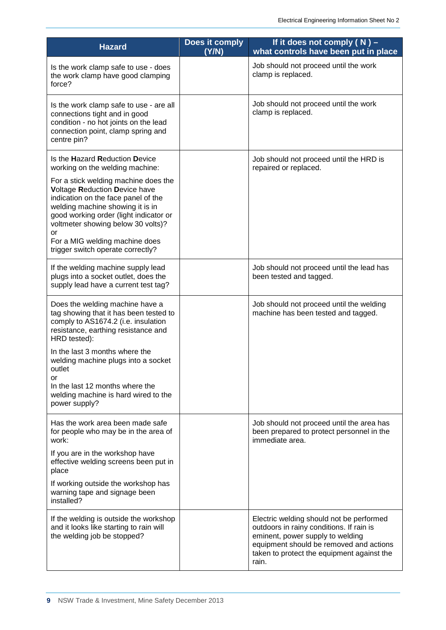| <b>Hazard</b>                                                                                                                                                                                                                                                         | Does it comply<br>(Y/N) | If it does not comply $(N)$ –<br>what controls have been put in place                                                                                                                                                      |
|-----------------------------------------------------------------------------------------------------------------------------------------------------------------------------------------------------------------------------------------------------------------------|-------------------------|----------------------------------------------------------------------------------------------------------------------------------------------------------------------------------------------------------------------------|
| Is the work clamp safe to use - does<br>the work clamp have good clamping<br>force?                                                                                                                                                                                   |                         | Job should not proceed until the work<br>clamp is replaced.                                                                                                                                                                |
| Is the work clamp safe to use - are all<br>connections tight and in good<br>condition - no hot joints on the lead<br>connection point, clamp spring and<br>centre pin?                                                                                                |                         | Job should not proceed until the work<br>clamp is replaced.                                                                                                                                                                |
| Is the Hazard Reduction Device<br>working on the welding machine:<br>For a stick welding machine does the                                                                                                                                                             |                         | Job should not proceed until the HRD is<br>repaired or replaced.                                                                                                                                                           |
| Voltage Reduction Device have<br>indication on the face panel of the<br>welding machine showing it is in<br>good working order (light indicator or<br>voltmeter showing below 30 volts)?<br>or<br>For a MIG welding machine does<br>trigger switch operate correctly? |                         |                                                                                                                                                                                                                            |
| If the welding machine supply lead<br>plugs into a socket outlet, does the<br>supply lead have a current test tag?                                                                                                                                                    |                         | Job should not proceed until the lead has<br>been tested and tagged.                                                                                                                                                       |
| Does the welding machine have a<br>tag showing that it has been tested to<br>comply to AS1674.2 (i.e. insulation<br>resistance, earthing resistance and<br>HRD tested):                                                                                               |                         | Job should not proceed until the welding<br>machine has been tested and tagged.                                                                                                                                            |
| In the last 3 months where the<br>welding machine plugs into a socket<br>outlet<br>or<br>In the last 12 months where the<br>welding machine is hard wired to the<br>power supply?                                                                                     |                         |                                                                                                                                                                                                                            |
| Has the work area been made safe<br>for people who may be in the area of<br>work:                                                                                                                                                                                     |                         | Job should not proceed until the area has<br>been prepared to protect personnel in the<br>immediate area.                                                                                                                  |
| If you are in the workshop have<br>effective welding screens been put in<br>place                                                                                                                                                                                     |                         |                                                                                                                                                                                                                            |
| If working outside the workshop has<br>warning tape and signage been<br>installed?                                                                                                                                                                                    |                         |                                                                                                                                                                                                                            |
| If the welding is outside the workshop<br>and it looks like starting to rain will<br>the welding job be stopped?                                                                                                                                                      |                         | Electric welding should not be performed<br>outdoors in rainy conditions. If rain is<br>eminent, power supply to welding<br>equipment should be removed and actions<br>taken to protect the equipment against the<br>rain. |